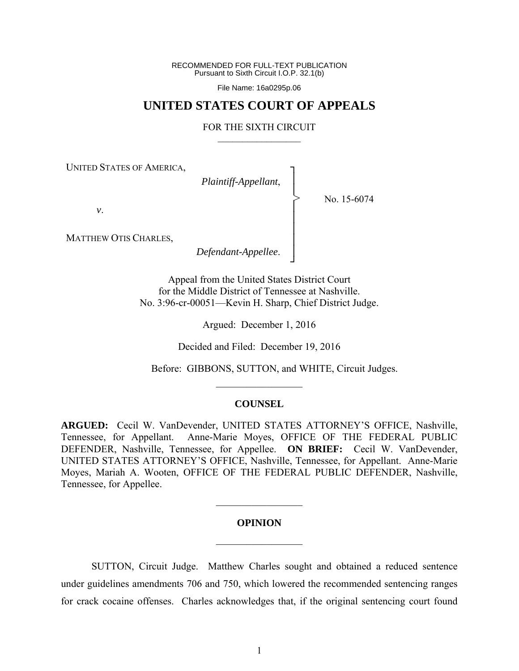RECOMMENDED FOR FULL-TEXT PUBLICATION Pursuant to Sixth Circuit I.O.P. 32.1(b)

File Name: 16a0295p.06

## **UNITED STATES COURT OF APPEALS**

## FOR THE SIXTH CIRCUIT  $\mathcal{L}_\text{max}$

┐ │ │ │ │ │ │ │ ┘

>

UNITED STATES OF AMERICA,

*Plaintiff-Appellant*,

No. 15-6074

*v*.

MATTHEW OTIS CHARLES,

*Defendant-Appellee*.

Appeal from the United States District Court for the Middle District of Tennessee at Nashville. No. 3:96-cr-00051—Kevin H. Sharp, Chief District Judge.

Argued: December 1, 2016

Decided and Filed: December 19, 2016

Before: GIBBONS, SUTTON, and WHITE, Circuit Judges.

## **COUNSEL**

 $\frac{1}{2}$ 

**ARGUED:** Cecil W. VanDevender, UNITED STATES ATTORNEY'S OFFICE, Nashville, Tennessee, for Appellant. Anne-Marie Moyes, OFFICE OF THE FEDERAL PUBLIC DEFENDER, Nashville, Tennessee, for Appellee. **ON BRIEF:** Cecil W. VanDevender, UNITED STATES ATTORNEY'S OFFICE, Nashville, Tennessee, for Appellant. Anne-Marie Moyes, Mariah A. Wooten, OFFICE OF THE FEDERAL PUBLIC DEFENDER, Nashville, Tennessee, for Appellee.

## **OPINION**   $\frac{1}{2}$

 $\mathcal{L}_\text{max}$ 

 SUTTON, Circuit Judge. Matthew Charles sought and obtained a reduced sentence under guidelines amendments 706 and 750, which lowered the recommended sentencing ranges for crack cocaine offenses. Charles acknowledges that, if the original sentencing court found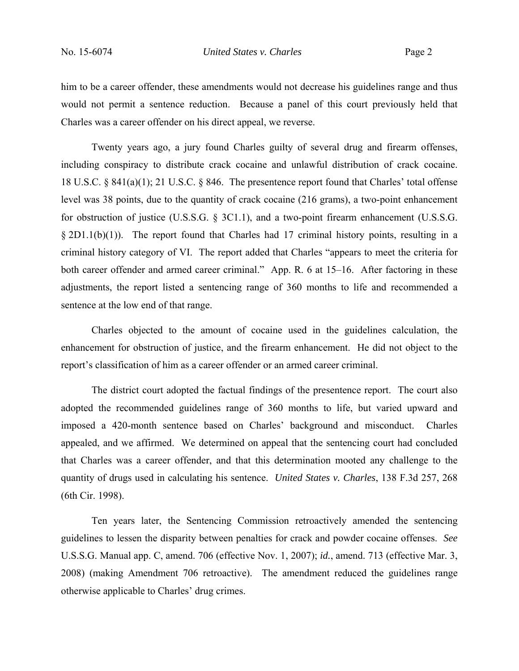him to be a career offender, these amendments would not decrease his guidelines range and thus would not permit a sentence reduction. Because a panel of this court previously held that Charles was a career offender on his direct appeal, we reverse.

 Twenty years ago, a jury found Charles guilty of several drug and firearm offenses, including conspiracy to distribute crack cocaine and unlawful distribution of crack cocaine. 18 U.S.C. § 841(a)(1); 21 U.S.C. § 846. The presentence report found that Charles' total offense level was 38 points, due to the quantity of crack cocaine (216 grams), a two-point enhancement for obstruction of justice (U.S.S.G. § 3C1.1), and a two-point firearm enhancement (U.S.S.G.  $\S 2D1.1(b)(1)$ . The report found that Charles had 17 criminal history points, resulting in a criminal history category of VI. The report added that Charles "appears to meet the criteria for both career offender and armed career criminal." App. R. 6 at 15–16. After factoring in these adjustments, the report listed a sentencing range of 360 months to life and recommended a sentence at the low end of that range.

Charles objected to the amount of cocaine used in the guidelines calculation, the enhancement for obstruction of justice, and the firearm enhancement. He did not object to the report's classification of him as a career offender or an armed career criminal.

The district court adopted the factual findings of the presentence report. The court also adopted the recommended guidelines range of 360 months to life, but varied upward and imposed a 420-month sentence based on Charles' background and misconduct. Charles appealed, and we affirmed. We determined on appeal that the sentencing court had concluded that Charles was a career offender, and that this determination mooted any challenge to the quantity of drugs used in calculating his sentence. *United States v. Charles*, 138 F.3d 257, 268 (6th Cir. 1998).

Ten years later, the Sentencing Commission retroactively amended the sentencing guidelines to lessen the disparity between penalties for crack and powder cocaine offenses. *See* U.S.S.G. Manual app. C, amend. 706 (effective Nov. 1, 2007); *id.*, amend. 713 (effective Mar. 3, 2008) (making Amendment 706 retroactive). The amendment reduced the guidelines range otherwise applicable to Charles' drug crimes.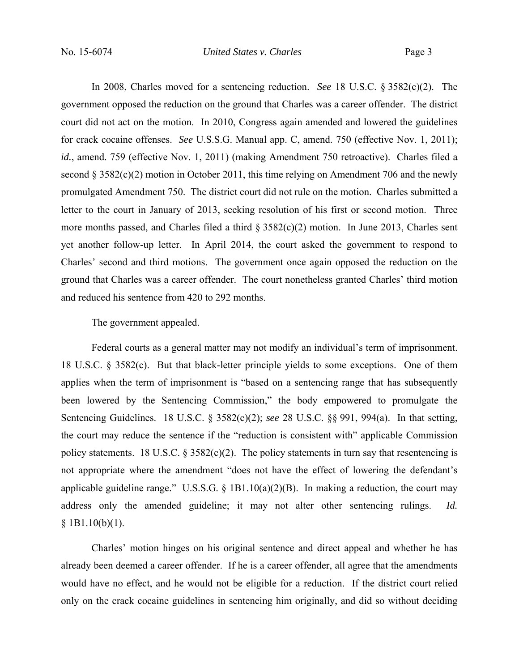In 2008, Charles moved for a sentencing reduction. *See* 18 U.S.C. § 3582(c)(2). The government opposed the reduction on the ground that Charles was a career offender. The district court did not act on the motion. In 2010, Congress again amended and lowered the guidelines for crack cocaine offenses. *See* U.S.S.G. Manual app. C, amend. 750 (effective Nov. 1, 2011); *id.*, amend. 759 (effective Nov. 1, 2011) (making Amendment 750 retroactive). Charles filed a second  $\S 3582(c)(2)$  motion in October 2011, this time relying on Amendment 706 and the newly promulgated Amendment 750. The district court did not rule on the motion. Charles submitted a letter to the court in January of 2013, seeking resolution of his first or second motion. Three more months passed, and Charles filed a third § 3582(c)(2) motion. In June 2013, Charles sent yet another follow-up letter. In April 2014, the court asked the government to respond to Charles' second and third motions. The government once again opposed the reduction on the ground that Charles was a career offender. The court nonetheless granted Charles' third motion and reduced his sentence from 420 to 292 months.

The government appealed.

Federal courts as a general matter may not modify an individual's term of imprisonment. 18 U.S.C. § 3582(c). But that black-letter principle yields to some exceptions. One of them applies when the term of imprisonment is "based on a sentencing range that has subsequently been lowered by the Sentencing Commission," the body empowered to promulgate the Sentencing Guidelines. 18 U.S.C. § 3582(c)(2); *see* 28 U.S.C. §§ 991, 994(a). In that setting, the court may reduce the sentence if the "reduction is consistent with" applicable Commission policy statements. 18 U.S.C.  $\S$  3582(c)(2). The policy statements in turn say that resentencing is not appropriate where the amendment "does not have the effect of lowering the defendant's applicable guideline range." U.S.S.G. § 1B1.10(a)(2)(B). In making a reduction, the court may address only the amended guideline; it may not alter other sentencing rulings. *Id.*  $$1B1.10(b)(1).$ 

Charles' motion hinges on his original sentence and direct appeal and whether he has already been deemed a career offender. If he is a career offender, all agree that the amendments would have no effect, and he would not be eligible for a reduction. If the district court relied only on the crack cocaine guidelines in sentencing him originally, and did so without deciding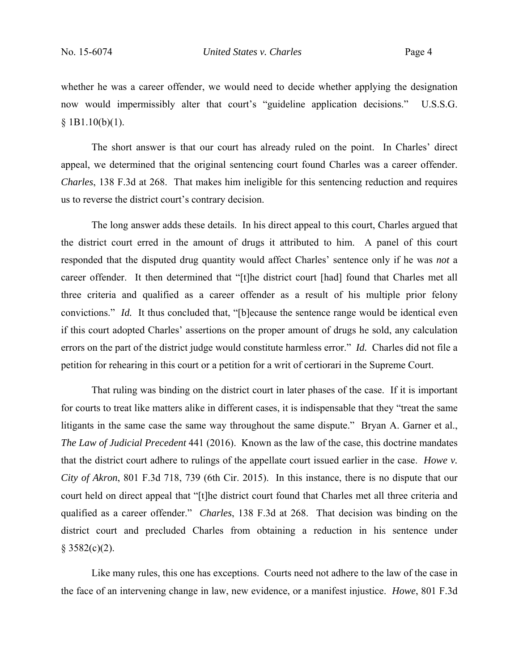whether he was a career offender, we would need to decide whether applying the designation now would impermissibly alter that court's "guideline application decisions." U.S.S.G.  $$1B1.10(b)(1).$ 

 The short answer is that our court has already ruled on the point. In Charles' direct appeal, we determined that the original sentencing court found Charles was a career offender. *Charles*, 138 F.3d at 268. That makes him ineligible for this sentencing reduction and requires us to reverse the district court's contrary decision.

 The long answer adds these details. In his direct appeal to this court, Charles argued that the district court erred in the amount of drugs it attributed to him. A panel of this court responded that the disputed drug quantity would affect Charles' sentence only if he was *not* a career offender. It then determined that "[t]he district court [had] found that Charles met all three criteria and qualified as a career offender as a result of his multiple prior felony convictions." *Id.* It thus concluded that, "[b]ecause the sentence range would be identical even if this court adopted Charles' assertions on the proper amount of drugs he sold, any calculation errors on the part of the district judge would constitute harmless error." *Id.* Charles did not file a petition for rehearing in this court or a petition for a writ of certiorari in the Supreme Court.

 That ruling was binding on the district court in later phases of the case. If it is important for courts to treat like matters alike in different cases, it is indispensable that they "treat the same litigants in the same case the same way throughout the same dispute." Bryan A. Garner et al., *The Law of Judicial Precedent* 441 (2016). Known as the law of the case, this doctrine mandates that the district court adhere to rulings of the appellate court issued earlier in the case. *Howe v. City of Akron*, 801 F.3d 718, 739 (6th Cir. 2015). In this instance, there is no dispute that our court held on direct appeal that "[t]he district court found that Charles met all three criteria and qualified as a career offender." *Charles*, 138 F.3d at 268. That decision was binding on the district court and precluded Charles from obtaining a reduction in his sentence under  $§ 3582(c)(2)$ .

 Like many rules, this one has exceptions. Courts need not adhere to the law of the case in the face of an intervening change in law, new evidence, or a manifest injustice. *Howe*, 801 F.3d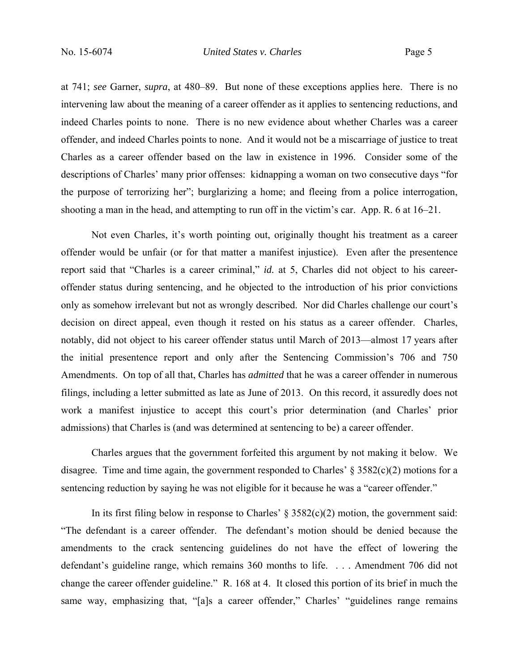at 741; *see* Garner, *supra*, at 480–89. But none of these exceptions applies here. There is no intervening law about the meaning of a career offender as it applies to sentencing reductions, and indeed Charles points to none. There is no new evidence about whether Charles was a career offender, and indeed Charles points to none. And it would not be a miscarriage of justice to treat Charles as a career offender based on the law in existence in 1996. Consider some of the descriptions of Charles' many prior offenses: kidnapping a woman on two consecutive days "for the purpose of terrorizing her"; burglarizing a home; and fleeing from a police interrogation, shooting a man in the head, and attempting to run off in the victim's car. App. R. 6 at 16–21.

 Not even Charles, it's worth pointing out, originally thought his treatment as a career offender would be unfair (or for that matter a manifest injustice). Even after the presentence report said that "Charles is a career criminal," *id.* at 5, Charles did not object to his careeroffender status during sentencing, and he objected to the introduction of his prior convictions only as somehow irrelevant but not as wrongly described. Nor did Charles challenge our court's decision on direct appeal, even though it rested on his status as a career offender. Charles, notably, did not object to his career offender status until March of 2013—almost 17 years after the initial presentence report and only after the Sentencing Commission's 706 and 750 Amendments. On top of all that, Charles has *admitted* that he was a career offender in numerous filings, including a letter submitted as late as June of 2013. On this record, it assuredly does not work a manifest injustice to accept this court's prior determination (and Charles' prior admissions) that Charles is (and was determined at sentencing to be) a career offender.

Charles argues that the government forfeited this argument by not making it below. We disagree. Time and time again, the government responded to Charles'  $\S 3582(c)(2)$  motions for a sentencing reduction by saying he was not eligible for it because he was a "career offender."

In its first filing below in response to Charles'  $\S 3582(c)(2)$  motion, the government said: "The defendant is a career offender. The defendant's motion should be denied because the amendments to the crack sentencing guidelines do not have the effect of lowering the defendant's guideline range, which remains 360 months to life. . . . Amendment 706 did not change the career offender guideline." R. 168 at 4. It closed this portion of its brief in much the same way, emphasizing that, "[a]s a career offender," Charles' "guidelines range remains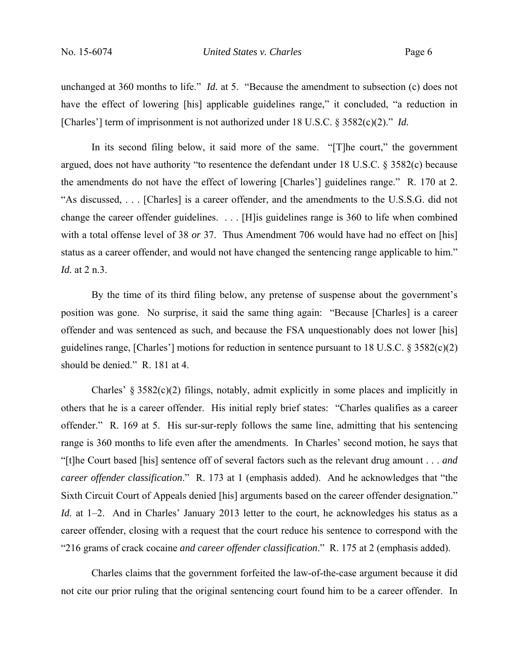unchanged at 360 months to life." *Id.* at 5. "Because the amendment to subsection (c) does not have the effect of lowering [his] applicable guidelines range," it concluded, "a reduction in [Charles'] term of imprisonment is not authorized under 18 U.S.C. § 3582(c)(2)." *Id.*

In its second filing below, it said more of the same. "[T]he court," the government argued, does not have authority "to resentence the defendant under 18 U.S.C. § 3582(c) because the amendments do not have the effect of lowering [Charles'] guidelines range." R. 170 at 2. "As discussed, . . . [Charles] is a career offender, and the amendments to the U.S.S.G. did not change the career offender guidelines. . . . [H]is guidelines range is 360 to life when combined with a total offense level of 38 *or* 37. Thus Amendment 706 would have had no effect on [his] status as a career offender, and would not have changed the sentencing range applicable to him." *Id.* at 2 n.3.

By the time of its third filing below, any pretense of suspense about the government's position was gone. No surprise, it said the same thing again: "Because [Charles] is a career offender and was sentenced as such, and because the FSA unquestionably does not lower [his] guidelines range, [Charles'] motions for reduction in sentence pursuant to 18 U.S.C. § 3582(c)(2) should be denied." R. 181 at 4.

Charles' § 3582(c)(2) filings, notably, admit explicitly in some places and implicitly in others that he is a career offender. His initial reply brief states: "Charles qualifies as a career offender." R. 169 at 5. His sur-sur-reply follows the same line, admitting that his sentencing range is 360 months to life even after the amendments. In Charles' second motion, he says that "[t]he Court based [his] sentence off of several factors such as the relevant drug amount . . . *and career offender classification*." R. 173 at 1 (emphasis added). And he acknowledges that "the Sixth Circuit Court of Appeals denied [his] arguments based on the career offender designation." *Id.* at 1–2. And in Charles' January 2013 letter to the court, he acknowledges his status as a career offender, closing with a request that the court reduce his sentence to correspond with the "216 grams of crack cocaine *and career offender classification*." R. 175 at 2 (emphasis added).

Charles claims that the government forfeited the law-of-the-case argument because it did not cite our prior ruling that the original sentencing court found him to be a career offender. In